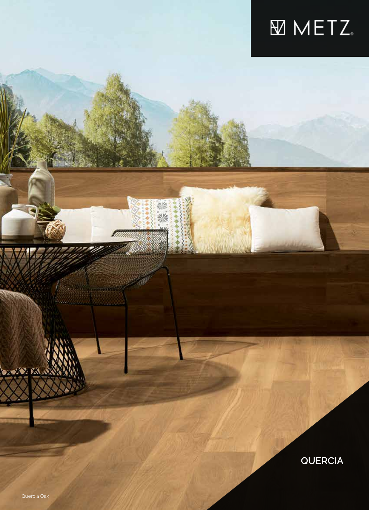## **MINETZ**

点次<br>ない

**QUERCIA**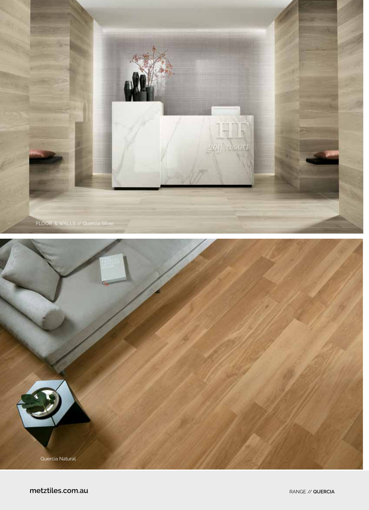

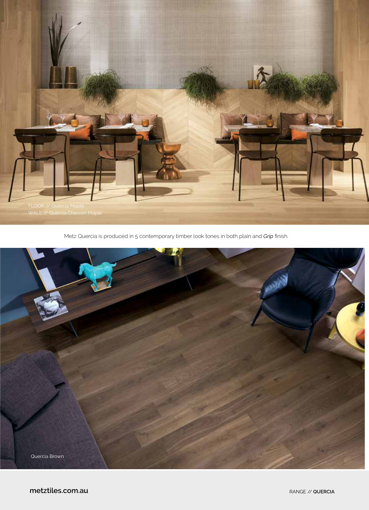

Metz Quercia is produced in 5 contemporary timber look tones in both plain and *Grip* finish.